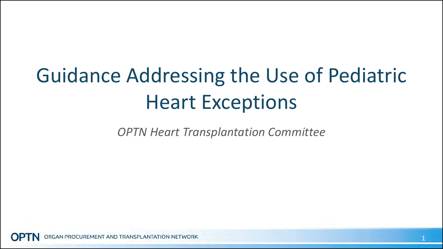## Guidance Addressing the Use of Pediatric Heart Exceptions

*OPTN Heart Transplantation Committee*

GAN PROCUREMENT AND TRANSPLANTATION NETWORK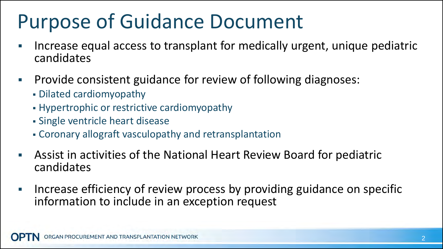### Purpose of Guidance Document

- Increase equal access to transplant for medically urgent, unique pediatric candidates
- **Provide consistent guidance for review of following diagnoses:** 
	- Dilated cardiomyopathy
	- Hypertrophic or restrictive cardiomyopathy
	- Single ventricle heart disease
	- Coronary allograft vasculopathy and retransplantation
- Assist in activities of the National Heart Review Board for pediatric candidates
- **Increase efficiency of review process by providing guidance on specific** information to include in an exception request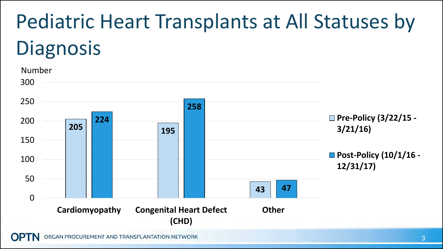# Pediatric Heart Transplants at All Statuses by **Diagnosis**



RGAN PROCUREMENT AND TRANSPLANTATION NETWORK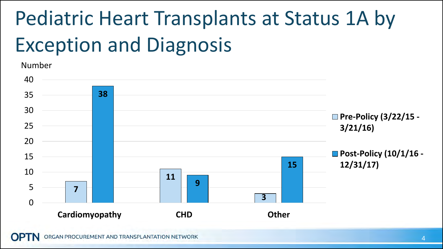## Pediatric Heart Transplants at Status 1A by Exception and Diagnosis



**Cardiomyopathy CHD Other**

RGAN PROCUREMENT AND TRANSPLANTATION NETWORK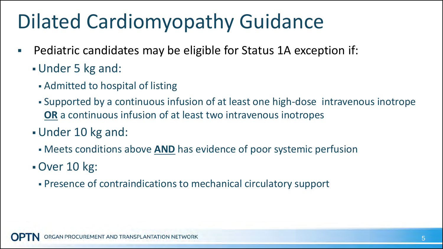### Dilated Cardiomyopathy Guidance

- Pediatric candidates may be eligible for Status 1A exception if:
	- Under 5 kg and:
		- Admitted to hospital of listing
		- Supported by a continuous infusion of at least one high-dose intravenous inotrope **OR** a continuous infusion of at least two intravenous inotropes
	- Under 10 kg and:
		- Meets conditions above **AND** has evidence of poor systemic perfusion
	- Over 10 kg:
		- Presence of contraindications to mechanical circulatory support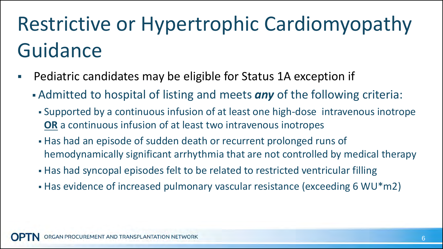## Restrictive or Hypertrophic Cardiomyopathy Guidance

- Pediatric candidates may be eligible for Status 1A exception if
	- Admitted to hospital of listing and meets *any* of the following criteria:
		- Supported by a continuous infusion of at least one high-dose intravenous inotrope **OR** a continuous infusion of at least two intravenous inotropes
		- Has had an episode of sudden death or recurrent prolonged runs of hemodynamically significant arrhythmia that are not controlled by medical therapy
		- Has had syncopal episodes felt to be related to restricted ventricular filling
		- Has evidence of increased pulmonary vascular resistance (exceeding 6 WU\*m2)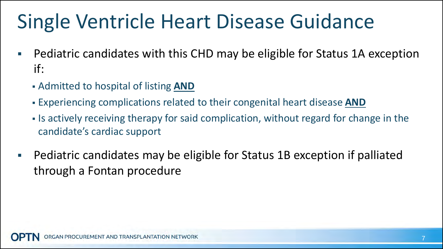### Single Ventricle Heart Disease Guidance

- Pediatric candidates with this CHD may be eligible for Status 1A exception if:
	- Admitted to hospital of listing **AND**
	- Experiencing complications related to their congenital heart disease **AND**
	- If is actively receiving therapy for said complication, without regard for change in the candidate's cardiac support
- **Pediatric candidates may be eligible for Status 1B exception if palliated** through a Fontan procedure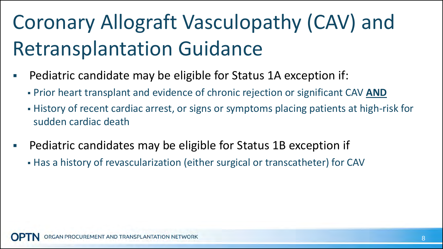## Coronary Allograft Vasculopathy (CAV) and Retransplantation Guidance

- Pediatric candidate may be eligible for Status 1A exception if:
	- Prior heart transplant and evidence of chronic rejection or significant CAV **AND**
	- History of recent cardiac arrest, or signs or symptoms placing patients at high-risk for sudden cardiac death
- **Pediatric candidates may be eligible for Status 1B exception if** 
	- Has a history of revascularization (either surgical or transcatheter) for CAV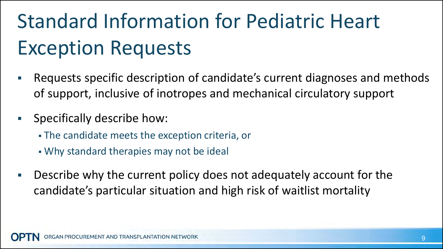## Standard Information for Pediatric Heart Exception Requests

- Requests specific description of candidate's current diagnoses and methods of support, inclusive of inotropes and mechanical circulatory support
- **Specifically describe how:** 
	- The candidate meets the exception criteria, or
	- Why standard therapies may not be ideal
- Describe why the current policy does not adequately account for the candidate's particular situation and high risk of waitlist mortality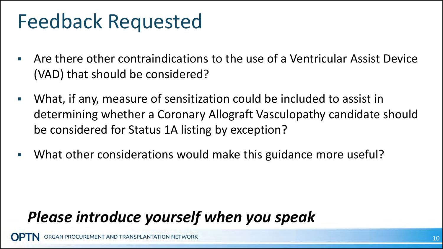#### Feedback Requested

- Are there other contraindications to the use of a Ventricular Assist Device (VAD) that should be considered?
- What, if any, measure of sensitization could be included to assist in determining whether a Coronary Allograft Vasculopathy candidate should be considered for Status 1A listing by exception?
- What other considerations would make this guidance more useful?

#### *Please introduce yourself when you speak*

AN PROCUREMENT AND TRANSPLANTATION NETWORK